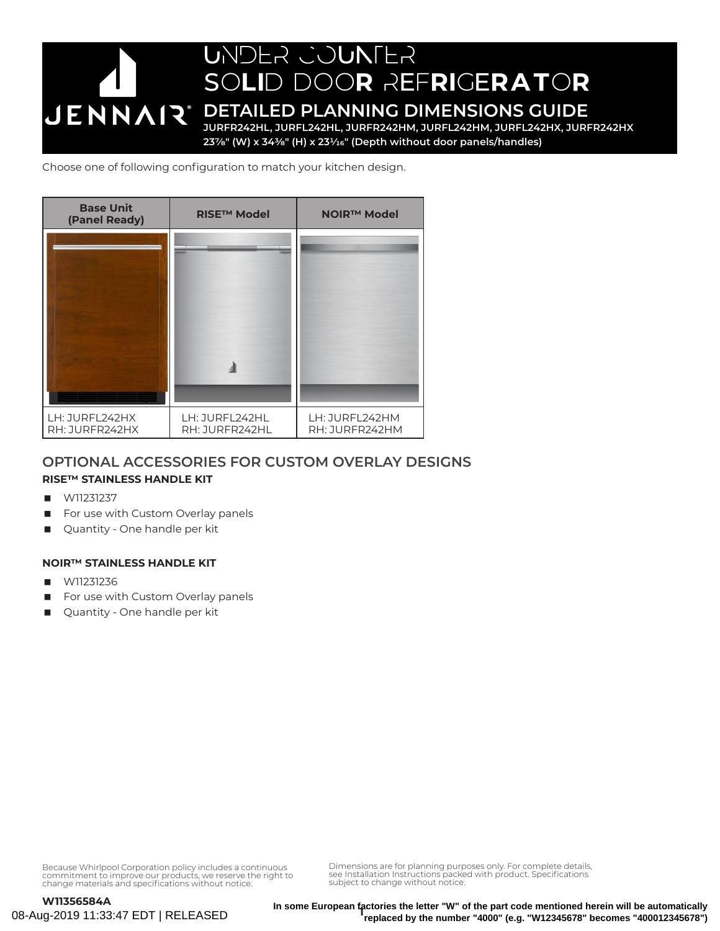

Choose one of following configuration to match your kitchen design.



### **OPTIONAL ACCESSORIES FOR CUSTOM OVERLAY DESIGNS**

### **RISE™ STAINLESS HANDLE KIT**

- W11231237
- For use with Custom Overlay panels
- Quantity One handle per kit

### **NOIR™ STAINLESS HANDLE KIT**

- W11231236
- For use with Custom Overlay panels
- **Quantity One handle per kit**

Because Whirlpool Corporation policy includes a continuous commitment to improve our products, we reserve the right to change materials and specifications without notice.

**1 In some European factories the letter "W" of the part code mentioned herein will be automatically replaced by the number "4000" (e.g. "W12345678" becomes "400012345678")**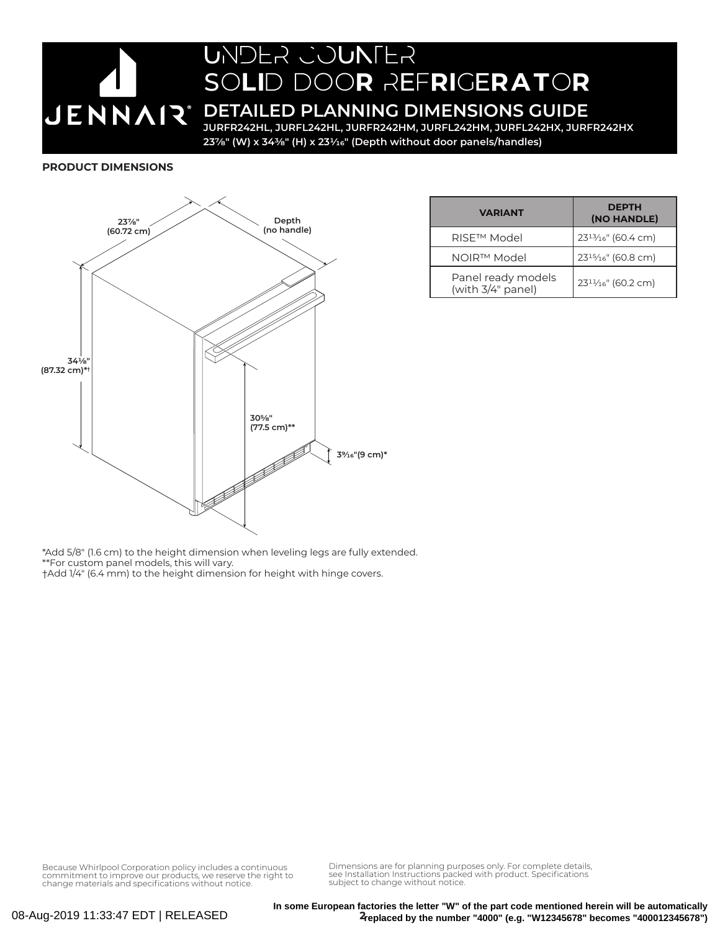# UNDER COUNTER SOLID DOOR REFRIGERATOR **JENNAIR®**

### **DETAILED PLANNING DIMENSIONS GUIDE**

**JURFR242HL, JURFL242HL, JURFR242HM, JURFL242HM, JURFL242HX, JURFR242HX 237/8" (W) x 343/8" (H) x 231/16" (Depth without door panels/handles)**

#### **PRODUCT DIMENSIONS**



| <b>VARIANT</b>                          | <b>DEPTH</b><br>(NO HANDLE)                  |
|-----------------------------------------|----------------------------------------------|
| RISE <sup>™</sup> Model                 | $23^{13}/16$ " (60.4 cm)                     |
| NOIR™ Model                             | $23^{15}/16$ " (60.8 cm)                     |
| Panel ready models<br>(with 3/4" panel) | 23 <sup>11</sup> / <sub>16</sub> " (60.2 cm) |

\*Add 5/8" (1.6 cm) to the height dimension when leveling legs are fully extended. \*\*For custom panel models, this will vary. †Add 1/4" (6.4 mm) to the height dimension for height with hinge covers.

Because Whirlpool Corporation policy includes a continuous commitment to improve our products, we reserve the right to change materials and specifications without notice. Dimensions are for planning purposes only. For complete details, see Installation Instructions packed with product. Specifications subject to change without notice.

**2 replaced by the number "4000" (e.g. "W12345678" becomes "400012345678")In some European factories the letter "W" of the part code mentioned herein will be automatically**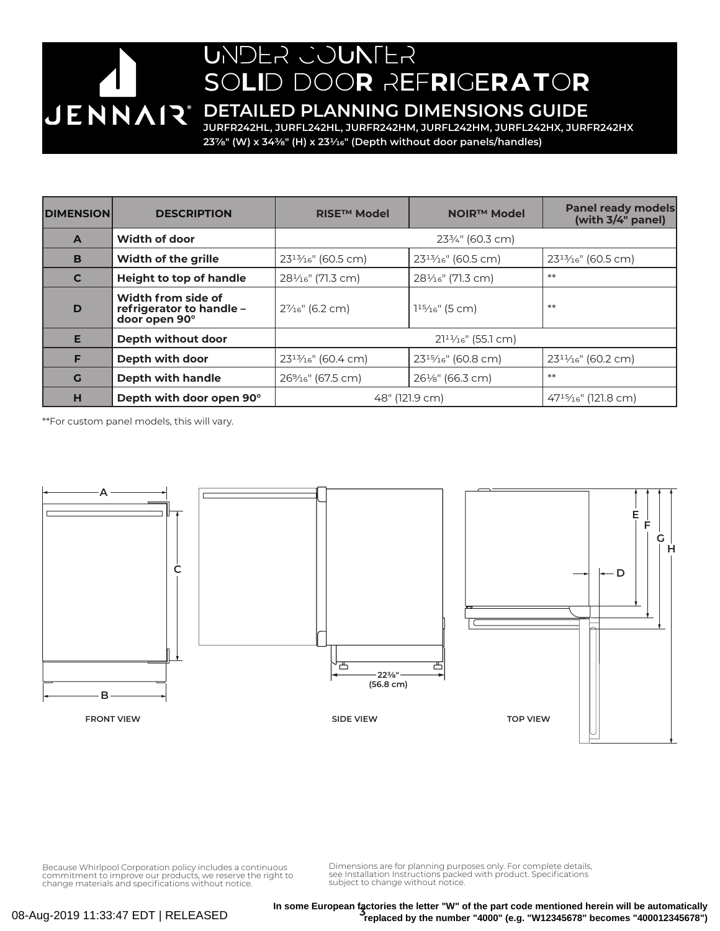# UNDER COUNTER SOLID DOOR REFRIGERATOR

**DETAILED PLANNING DIMENSIONS GUIDE**

**JURFR242HL, JURFL242HL, JURFR242HM, JURFL242HM, JURFL242HX, JURFR242HX 237/8" (W) x 343/8" (H) x 231/16" (Depth without door panels/handles)**

| <b>DIMENSION</b> | <b>DESCRIPTION</b>                                              | <b>RISE™ Model</b>             | <b>NOIR™ Model</b>             | <b>Panel ready models</b><br>(with 3/4" panel) |
|------------------|-----------------------------------------------------------------|--------------------------------|--------------------------------|------------------------------------------------|
| $\mathbf{A}$     | Width of door                                                   | $23\frac{3}{4}$ " (60.3 cm)    |                                |                                                |
| B                | <b>Width of the grille</b>                                      | $23^{13}/16$ " (60.5 cm)       | $23^{13}/16$ " (60.5 cm)       | $23^{13}/16$ " (60.5 cm)                       |
| $\mathbf c$      | <b>Height to top of handle</b>                                  | 281/ <sub>16</sub> " (71.3 cm) | 281/ <sub>16</sub> " (71.3 cm) | $**$                                           |
| D                | Width from side of<br>refrigerator to handle -<br>door open 90° | $2\%$ <sup>"</sup> (6.2 cm)    | $115/16$ " (5 cm)              | $**$                                           |
| E                | Depth without door                                              | $2111/16$ " (55.1 cm)          |                                |                                                |
| F                | Depth with door                                                 | $23^{13}/16$ " (60.4 cm)       | $23^{15}/16$ " (60.8 cm)       | $23^{11}/16$ " (60.2 cm)                       |
| G                | Depth with handle                                               | 26% <sub>16</sub> " (67.5 cm)  | $26\frac{1}{8}$ " (66.3 cm)    | $**$                                           |
| н                | Depth with door open 90°                                        | 48" (121.9 cm)                 |                                | $47^{15}/_{16}$ " (121.8 cm)                   |

\*\*For custom panel models, this will vary.

JENNAIR®



Because Whirlpool Corporation policy includes a continuous commitment to improve our products, we reserve the right to change materials and specifications without notice. Dimensions are for planning purposes only. For complete details, see Installation Instructions packed with product. Specifications subject to change without notice.

08-Aug-2019 11:33:47 EDT | RELEASED

**3 In some European factories the letter "W" of the part code mentioned herein will be automatically replaced by the number "4000" (e.g. "W12345678" becomes "400012345678")**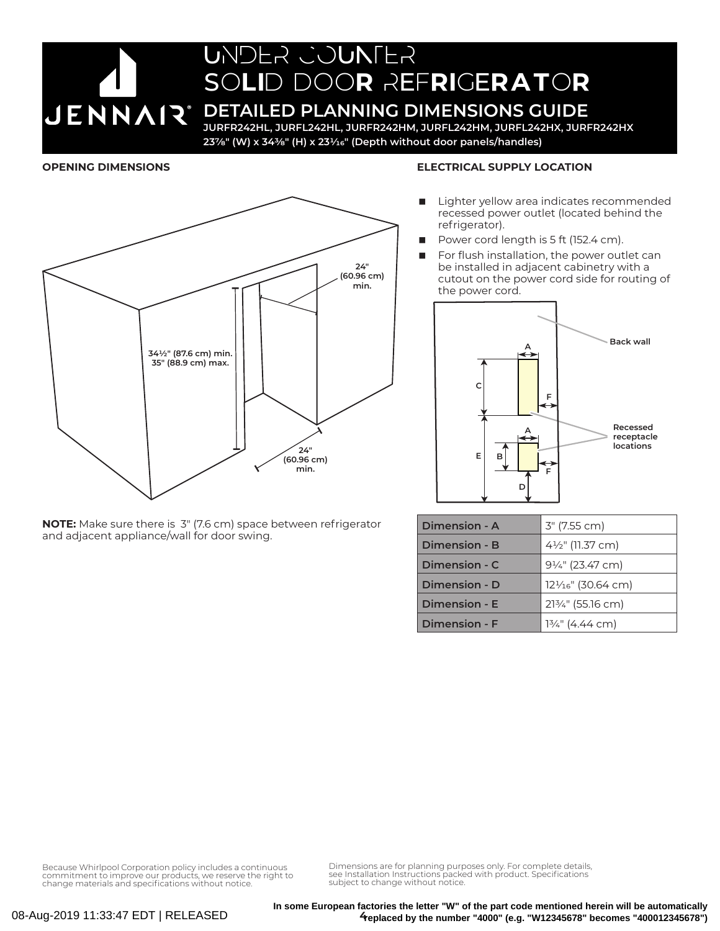# UNDER COUNTER SOLID DOOR REFRIGERATOR

## **JENNAIR** DETAILED PLANNING DIMENSIONS GUIDE

**JURFR242HL, JURFL242HL, JURFR242HM, JURFL242HM, JURFL242HX, JURFR242HX 237/8" (W) x 343/8" (H) x 231/16" (Depth without door panels/handles)**

### **OPENING DIMENSIONS**



#### **ELECTRICAL SUPPLY LOCATION**

- Lighter yellow area indicates recommended recessed power outlet (located behind the refrigerator).
- Power cord length is 5 ft (152.4 cm).
- For flush installation, the power outlet can be installed in adjacent cabinetry with a cutout on the power cord side for routing of the power cord.



| Dimension - A | 3" (7.55 cm)                  |
|---------------|-------------------------------|
| Dimension - B | 41/2" (11.37 cm)              |
| Dimension - C | $9\frac{1}{4}$ " (23.47 cm)   |
| Dimension - D | $12\frac{1}{16}$ " (30.64 cm) |
| Dimension - E | 213/4" (55.16 cm)             |
| Dimension - F | $13/4$ " (4.44 cm)            |

**NOTE:** Make sure there is 3" (7.6 cm) space between refrigerator and adjacent appliance/wall for door swing.

Because Whirlpool Corporation policy includes a continuous commitment to improve our products, we reserve the right to change materials and specifications without notice. Dimensions are for planning purposes only. For complete details, see Installation Instructions packed with product. Specifications subject to change without notice.

**4 replaced by the number "4000" (e.g. "W12345678" becomes "400012345678")In some European factories the letter "W" of the part code mentioned herein will be automatically**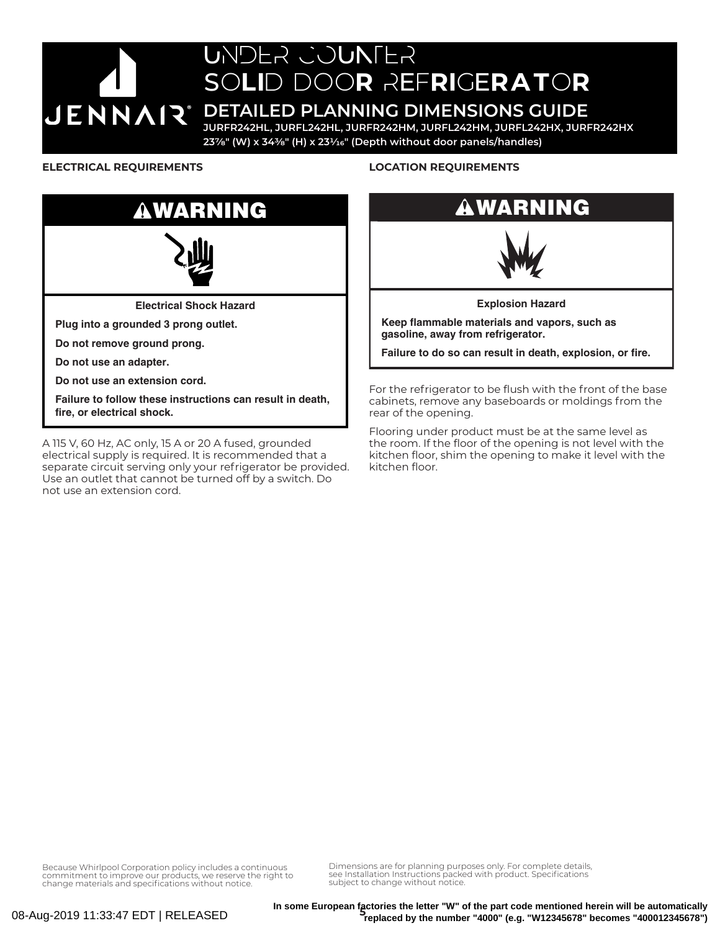# UNDER COUNTER SOLID DOOR REFRIGERATOR

### **JENNAIR** DETAILED PLANNING DIMENSIONS GUIDE

**JURFR242HL, JURFL242HL, JURFR242HM, JURFL242HM, JURFL242HX, JURFR242HX 237/8" (W) x 343/8" (H) x 231/16" (Depth without door panels/handles)**

### **ELECTRICAL REQUIREMENTS**



A 115 V, 60 Hz, AC only, 15 A or 20 A fused, grounded electrical supply is required. It is recommended that a separate circuit serving only your refrigerator be provided. Use an outlet that cannot be turned off by a switch. Do not use an extension cord.

### **LOCATION REQUIREMENTS**

### WARNING



**Explosion Hazard**

**Keep flammable materials and vapors, such as gasoline, away from refrigerator.**

**Failure to do so can result in death, explosion, or fire.**

For the refrigerator to be flush with the front of the base cabinets, remove any baseboards or moldings from the rear of the opening.

Flooring under product must be at the same level as the room. If the floor of the opening is not level with the kitchen floor, shim the opening to make it level with the kitchen floor.

Because Whirlpool Corporation policy includes a continuous commitment to improve our products, we reserve the right to change materials and specifications without notice.

Dimensions are for planning purposes only. For complete details, see Installation Instructions packed with product. Specifications subject to change without notice.

In some European factories the letter "W" of the part code mentioned herein will be automatically<br>Ander "4000" (e.g. "W42245678" becames "400042345678" **replaced by the number "4000" (e.g. "W12345678" becomes "400012345678")**